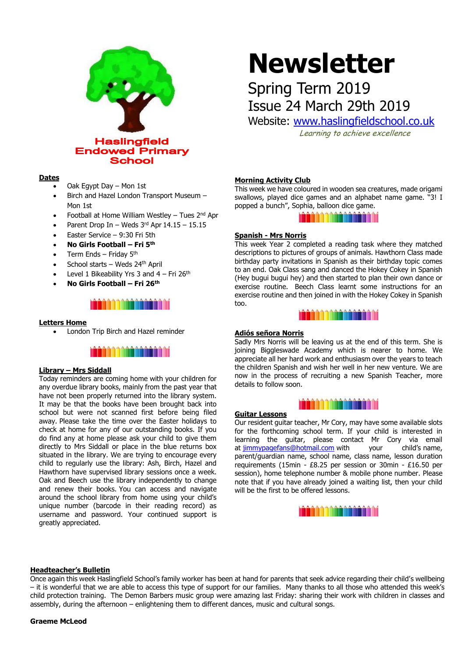

#### **Dates**

- Oak Egypt Day Mon 1st
- Birch and Hazel London Transport Museum Mon 1st
- Football at Home William Westley Tues  $2<sup>nd</sup>$  Apr
- Parent Drop In Weds  $3<sup>rd</sup>$  Apr  $14.15 15.15$
- Easter Service 9:30 Fri 5th
- **No Girls Football – Fri 5th**
- Term Ends Friday 5th
- School starts Weds 24th April
- Level 1 Bikeability Yrs 3 and  $4$  Fri 26<sup>th</sup>
- **No Girls Football – Fri 26th**

### 

#### **Letters Home**

• London Trip Birch and Hazel reminder



#### **Library – Mrs Siddall**

Today reminders are coming home with your children for any overdue library books, mainly from the past year that have not been properly returned into the library system. It may be that the books have been brought back into school but were not scanned first before being filed away. Please take the time over the Easter holidays to check at home for any of our outstanding books. If you do find any at home please ask your child to give them directly to Mrs Siddall or place in the blue returns box situated in the library. We are trying to encourage every child to regularly use the library: Ash, Birch, Hazel and Hawthorn have supervised library sessions once a week. Oak and Beech use the library independently to change and renew their books. You can access and navigate around the school library from home using your child's unique number (barcode in their reading record) as username and password. Your continued support is greatly appreciated.

# **Newsletter**

## Spring Term 2019 Issue 24 March 29th 2019

Website: [www.haslingfieldschool.co.uk](http://www.haslingfieldschool.co.uk/)

Learning to achieve excellence

#### **Morning Activity Club**

This week we have coloured in wooden sea creatures, made origami swallows, played dice games and an alphabet name game. "3! I popped a bunch", Sophia, balloon dice game.

MATHEMATICS

#### **Spanish - Mrs Norris**

This week Year 2 completed a reading task where they matched descriptions to pictures of groups of animals. Hawthorn Class made birthday party invitations in Spanish as their birthday topic comes to an end. Oak Class sang and danced the Hokey Cokey in Spanish (Hey bugui bugui hey) and then started to plan their own dance or exercise routine. Beech Class learnt some instructions for an exercise routine and then joined in with the Hokey Cokey in Spanish too.



#### **Adiós señora Norris**

Sadly Mrs Norris will be leaving us at the end of this term. She is joining Biggleswade Academy which is nearer to home. We appreciate all her hard work and enthusiasm over the years to teach the children Spanish and wish her well in her new venture. We are now in the process of recruiting a new Spanish Teacher, more details to follow soon.



#### **Guitar Lessons**

Our resident guitar teacher, Mr Cory, may have some available slots for the forthcoming school term. If your child is interested in learning the guitar, please contact Mr Cory via email at [jimmypagefans@hotmail.com](mailto:jimmypagefans@hotmail.com) with your child's name, parent/guardian name, school name, class name, lesson duration requirements (15min - £8.25 per session or 30min - £16.50 per session), home telephone number & mobile phone number. Please note that if you have already joined a waiting list, then your child will be the first to be offered lessons.



#### **Headteacher's Bulletin**

Once again this week Haslingfield School's family worker has been at hand for parents that seek advice regarding their child's wellbeing – it is wonderful that we are able to access this type of support for our families. Many thanks to all those who attended this week's child protection training. The Demon Barbers music group were amazing last Friday: sharing their work with children in classes and assembly, during the afternoon – enlightening them to different dances, music and cultural songs.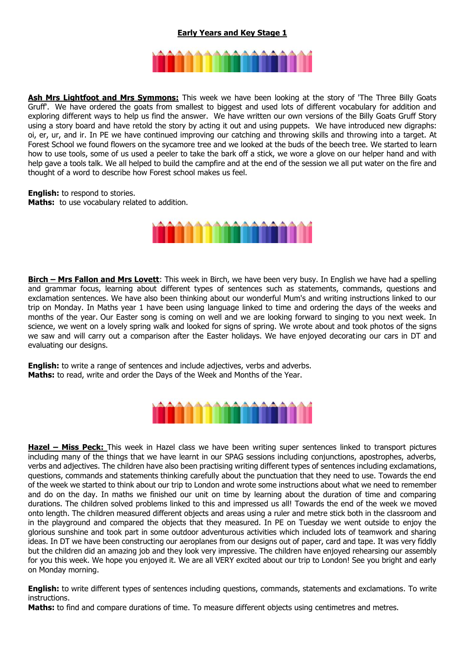#### **Early Years and Key Stage 1**



**Ash Mrs Lightfoot and Mrs Symmons:** This week we have been looking at the story of 'The Three Billy Goats Gruff'. We have ordered the goats from smallest to biggest and used lots of different vocabulary for addition and exploring different ways to help us find the answer. We have written our own versions of the Billy Goats Gruff Story using a story board and have retold the story by acting it out and using puppets. We have introduced new digraphs: oi, er, ur, and ir. In PE we have continued improving our catching and throwing skills and throwing into a target. At Forest School we found flowers on the sycamore tree and we looked at the buds of the beech tree. We started to learn how to use tools, some of us used a peeler to take the bark off a stick, we wore a glove on our helper hand and with help gave a tools talk. We all helped to build the campfire and at the end of the session we all put water on the fire and thought of a word to describe how Forest school makes us feel.

**English:** to respond to stories. **Maths:** to use vocabulary related to addition.



**Birch – Mrs Fallon and Mrs Lovett**: This week in Birch, we have been very busy. In English we have had a spelling and grammar focus, learning about different types of sentences such as statements, commands, questions and exclamation sentences. We have also been thinking about our wonderful Mum's and writing instructions linked to our trip on Monday. In Maths year 1 have been using language linked to time and ordering the days of the weeks and months of the year. Our Easter song is coming on well and we are looking forward to singing to you next week. In science, we went on a lovely spring walk and looked for signs of spring. We wrote about and took photos of the signs we saw and will carry out a comparison after the Easter holidays. We have enjoyed decorating our cars in DT and evaluating our designs.

**English:** to write a range of sentences and include adjectives, verbs and adverbs. **Maths:** to read, write and order the Days of the Week and Months of the Year.



**Hazel – Miss Peck:** This week in Hazel class we have been writing super sentences linked to transport pictures including many of the things that we have learnt in our SPAG sessions including conjunctions, apostrophes, adverbs, verbs and adjectives. The children have also been practising writing different types of sentences including exclamations, questions, commands and statements thinking carefully about the punctuation that they need to use. Towards the end of the week we started to think about our trip to London and wrote some instructions about what we need to remember and do on the day. In maths we finished our unit on time by learning about the duration of time and comparing durations. The children solved problems linked to this and impressed us all! Towards the end of the week we moved onto length. The children measured different objects and areas using a ruler and metre stick both in the classroom and in the playground and compared the objects that they measured. In PE on Tuesday we went outside to enjoy the glorious sunshine and took part in some outdoor adventurous activities which included lots of teamwork and sharing ideas. In DT we have been constructing our aeroplanes from our designs out of paper, card and tape. It was very fiddly but the children did an amazing job and they look very impressive. The children have enjoyed rehearsing our assembly for you this week. We hope you enjoyed it. We are all VERY excited about our trip to London! See you bright and early on Monday morning.

**English:** to write different types of sentences including questions, commands, statements and exclamations. To write instructions.

**Maths:** to find and compare durations of time. To measure different objects using centimetres and metres.